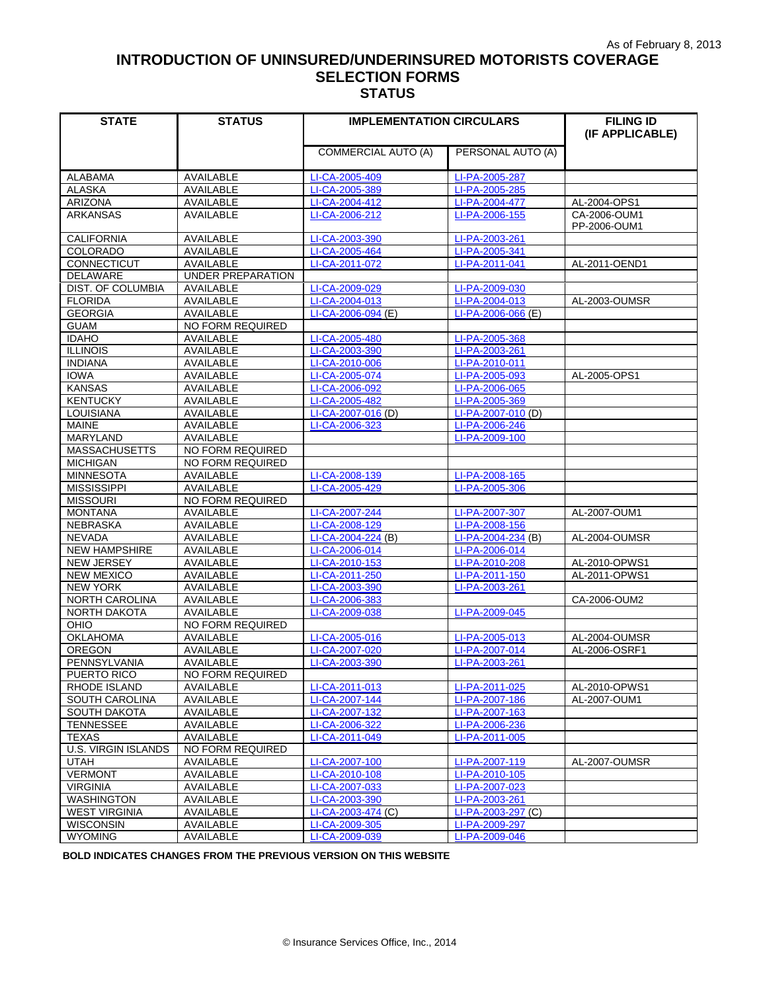# **INTRODUCTION OF UNINSURED/UNDERINSURED MOTORISTS COVERAGE SELECTION FORMS STATUS**

| <b>STATE</b>               | <b>STATUS</b>           | <b>IMPLEMENTATION CIRCULARS</b> |                    | <b>FILING ID</b> |
|----------------------------|-------------------------|---------------------------------|--------------------|------------------|
|                            |                         |                                 |                    | (IF APPLICABLE)  |
|                            |                         | <b>COMMERCIAL AUTO (A)</b>      | PERSONAL AUTO (A)  |                  |
|                            |                         |                                 |                    |                  |
| <b>ALABAMA</b>             | AVAILABLE               | LI-CA-2005-409                  | LI-PA-2005-287     |                  |
| <b>ALASKA</b>              | <b>AVAILABLE</b>        | LI-CA-2005-389                  | LI-PA-2005-285     |                  |
| <b>ARIZONA</b>             | AVAILABLE               | LI-CA-2004-412                  | LI-PA-2004-477     | AL-2004-OPS1     |
| <b>ARKANSAS</b>            | <b>AVAILABLE</b>        | LI-CA-2006-212                  | LI-PA-2006-155     | CA-2006-OUM1     |
|                            |                         |                                 |                    | PP-2006-OUM1     |
| <b>CALIFORNIA</b>          | AVAILABLE               | LI-CA-2003-390                  | LI-PA-2003-261     |                  |
| <b>COLORADO</b>            | <b>AVAILABLE</b>        | LI-CA-2005-464                  | LI-PA-2005-341     |                  |
| CONNECTICUT                | AVAILABLE               | LI-CA-2011-072                  | LI-PA-2011-041     | AL-2011-OEND1    |
| <b>DELAWARE</b>            | UNDER PREPARATION       |                                 |                    |                  |
| DIST. OF COLUMBIA          | AVAILABLE               | LI-CA-2009-029                  | LI-PA-2009-030     |                  |
| <b>FLORIDA</b>             | <b>AVAILABLE</b>        | LI-CA-2004-013                  | LI-PA-2004-013     | AL-2003-OUMSR    |
| GEORGIA                    | AVAILABLE               | LI-CA-2006-094 (E)              | LI-PA-2006-066 (E) |                  |
| <b>GUAM</b>                | <b>NO FORM REQUIRED</b> |                                 |                    |                  |
| <b>IDAHO</b>               | <b>AVAILABLE</b>        | LI-CA-2005-480                  | LI-PA-2005-368     |                  |
| <b>ILLINOIS</b>            | AVAILABLE               | LI-CA-2003-390                  | LI-PA-2003-261     |                  |
| <b>INDIANA</b>             | AVAILABLE               | LI-CA-2010-006                  | LI-PA-2010-011     |                  |
| <b>IOWA</b>                | <b>AVAILABLE</b>        | LI-CA-2005-074                  | LI-PA-2005-093     | AL-2005-OPS1     |
| <b>KANSAS</b>              | <b>AVAILABLE</b>        | LI-CA-2006-092                  | LI-PA-2006-065     |                  |
| <b>KENTUCKY</b>            | <b>AVAILABLE</b>        | LI-CA-2005-482                  | LI-PA-2005-369     |                  |
| <b>LOUISIANA</b>           | AVAILABLE               | LI-CA-2007-016 (D)              | LI-PA-2007-010 (D) |                  |
| <b>MAINE</b>               | AVAILABLE               | LI-CA-2006-323                  | LI-PA-2006-246     |                  |
| <b>MARYLAND</b>            | AVAILABLE               |                                 | LI-PA-2009-100     |                  |
| <b>MASSACHUSETTS</b>       | NO FORM REQUIRED        |                                 |                    |                  |
| <b>MICHIGAN</b>            | <b>NO FORM REQUIRED</b> |                                 |                    |                  |
| <b>MINNESOTA</b>           | <b>AVAILABLE</b>        | LI-CA-2008-139                  | LI-PA-2008-165     |                  |
| <b>MISSISSIPPI</b>         | AVAILABLE               | LI-CA-2005-429                  | LI-PA-2005-306     |                  |
| <b>MISSOURI</b>            | NO FORM REQUIRED        |                                 |                    |                  |
| <b>MONTANA</b>             | AVAILABLE               | LI-CA-2007-244                  | LI-PA-2007-307     | AL-2007-OUM1     |
| <b>NEBRASKA</b>            | AVAILABLE               | LI-CA-2008-129                  | LI-PA-2008-156     |                  |
| <b>NEVADA</b>              | AVAILABLE               | LI-CA-2004-224 (B)              | LI-PA-2004-234 (B) | AL-2004-OUMSR    |
| <b>NEW HAMPSHIRE</b>       | AVAILABLE               | LI-CA-2006-014                  | LI-PA-2006-014     |                  |
| NEW JERSEY                 | AVAILABLE               | LI-CA-2010-153                  | LI-PA-2010-208     | AL-2010-OPWS1    |
| <b>NEW MEXICO</b>          | <b>AVAILABLE</b>        | LI-CA-2011-250                  | LI-PA-2011-150     | AL-2011-OPWS1    |
| <b>NEW YORK</b>            | AVAILABLE               | LI-CA-2003-390                  | LI-PA-2003-261     |                  |
| NORTH CAROLINA             | AVAILABLE               | LI-CA-2006-383                  |                    | CA-2006-OUM2     |
| <b>NORTH DAKOTA</b>        | <b>AVAILABLE</b>        | LI-CA-2009-038                  | LI-PA-2009-045     |                  |
| OHIO                       | <b>NO FORM REQUIRED</b> |                                 |                    |                  |
| <b>OKLAHOMA</b>            | AVAILABLE               | LI-CA-2005-016                  | LI-PA-2005-013     | AL-2004-OUMSR    |
| OREGON                     | <b>AVAILABLE</b>        | LI-CA-2007-020                  | LI-PA-2007-014     | AL-2006-OSRF1    |
| PENNSYLVANIA               | AVAILABLE               | LI-CA-2003-390                  | LI-PA-2003-261     |                  |
| PUERTO RICO                | NO FORM REQUIRED        |                                 |                    |                  |
| RHODE ISLAND               | AVAILABLE               | LI-CA-2011-013                  | LI-PA-2011-025     | AL-2010-OPWS1    |
| SOUTH CAROLINA             | AVAILABLE               | LI-CA-2007-144                  | LI-PA-2007-186     | AL-2007-OUM1     |
| <b>SOUTH DAKOTA</b>        | AVAILABLE               | LI-CA-2007-132                  | LI-PA-2007-163     |                  |
| <b>TENNESSEE</b>           | AVAILABLE               | LI-CA-2006-322                  | LI-PA-2006-236     |                  |
| <b>TEXAS</b>               | AVAILABLE               | LI-CA-2011-049                  | LI-PA-2011-005     |                  |
| <b>U.S. VIRGIN ISLANDS</b> | NO FORM REQUIRED        |                                 |                    |                  |
| <b>UTAH</b>                | AVAILABLE               | LI-CA-2007-100                  | LI-PA-2007-119     | AL-2007-OUMSR    |
| <b>VERMONT</b>             | <b>AVAILABLE</b>        | LI-CA-2010-108                  | LI-PA-2010-105     |                  |
| <b>VIRGINIA</b>            | AVAILABLE               | LI-CA-2007-033                  | LI-PA-2007-023     |                  |
| WASHINGTON                 | AVAILABLE               | LI-CA-2003-390                  | LI-PA-2003-261     |                  |
| <b>WEST VIRGINIA</b>       | AVAILABLE               | LI-CA-2003-474 (C)              | LI-PA-2003-297 (C) |                  |
| <b>WISCONSIN</b>           | AVAILABLE               | LI-CA-2009-305                  | LI-PA-2009-297     |                  |
| <b>WYOMING</b>             | AVAILABLE               | LI-CA-2009-039                  | LI-PA-2009-046     |                  |

 **BOLD INDICATES CHANGES FROM THE PREVIOUS VERSION ON THIS WEBSITE**